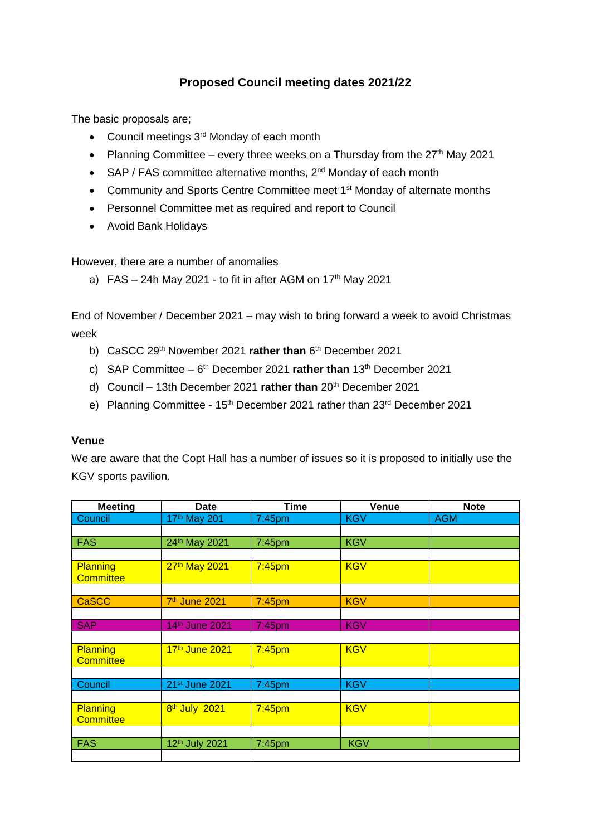## **Proposed Council meeting dates 2021/22**

The basic proposals are;

- Council meetings 3<sup>rd</sup> Monday of each month
- Planning Committee every three weeks on a Thursday from the  $27<sup>th</sup>$  May 2021
- SAP / FAS committee alternative months,  $2^{nd}$  Monday of each month
- Community and Sports Centre Committee meet 1<sup>st</sup> Monday of alternate months
- Personnel Committee met as required and report to Council
- Avoid Bank Holidays

However, there are a number of anomalies

a)  $FAS - 24h$  May 2021 - to fit in after AGM on 17<sup>th</sup> May 2021

End of November / December 2021 – may wish to bring forward a week to avoid Christmas week

- b) CaSCC 29<sup>th</sup> November 2021 rather than 6<sup>th</sup> December 2021
- c) SAP Committee 6<sup>th</sup> December 2021 **rather than** 13<sup>th</sup> December 2021
- d) Council 13th December 2021 **rather than** 20th December 2021
- e) Planning Committee 15<sup>th</sup> December 2021 rather than 23<sup>rd</sup> December 2021

## **Venue**

We are aware that the Copt Hall has a number of issues so it is proposed to initially use the KGV sports pavilion.

| <b>Meeting</b>   | <b>Date</b>               | <b>Time</b>        | Venue      | <b>Note</b> |
|------------------|---------------------------|--------------------|------------|-------------|
| Council          | 17th May 201              | 7:45pm             | <b>KGV</b> | <b>AGM</b>  |
|                  |                           |                    |            |             |
| <b>FAS</b>       | 24th May 2021             | $7:45$ pm          | <b>KGV</b> |             |
|                  |                           |                    |            |             |
| Planning         | 27th May 2021             | 7:45 <sub>pm</sub> | <b>KGV</b> |             |
| <b>Committee</b> |                           |                    |            |             |
|                  |                           |                    |            |             |
| <b>CaSCC</b>     | 7 <sup>th</sup> June 2021 | 7:45 <sub>pm</sub> | <b>KGV</b> |             |
|                  |                           |                    |            |             |
| <b>SAP</b>       | 14th June 2021            | $7:45$ pm          | <b>KGV</b> |             |
|                  |                           |                    |            |             |
| Planning         | 17th June 2021            | $7:45$ pm          | <b>KGV</b> |             |
| <b>Committee</b> |                           |                    |            |             |
|                  |                           |                    |            |             |
| Council          | 21st June 2021            | $7:45$ pm          | <b>KGV</b> |             |
|                  |                           |                    |            |             |
| Planning         | 8 <sup>th</sup> July 2021 | $7:45$ pm          | <b>KGV</b> |             |
| <b>Committee</b> |                           |                    |            |             |
|                  |                           |                    |            |             |
| <b>FAS</b>       | 12th July 2021            | $7:45$ pm          | <b>KGV</b> |             |
|                  |                           |                    |            |             |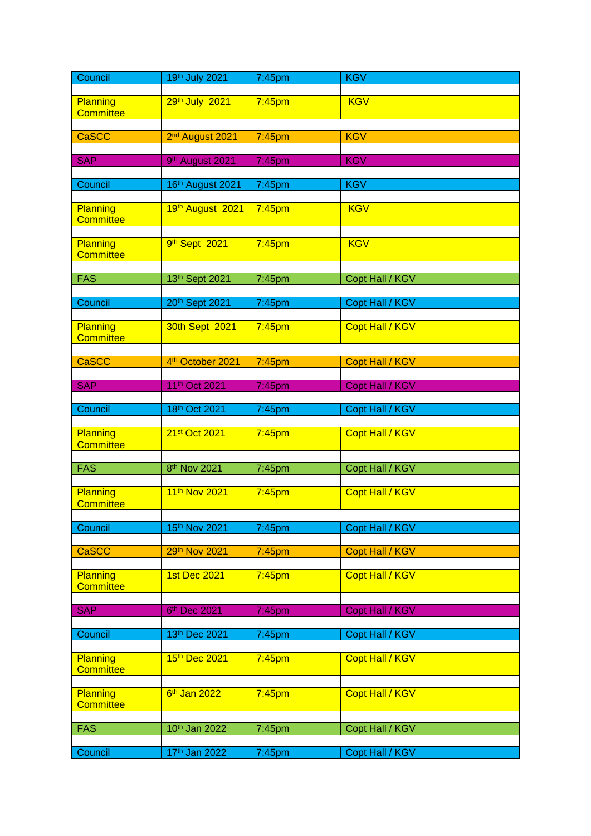| Council          | 19th July 2021              | 7:45pm             | <b>KGV</b>             |  |
|------------------|-----------------------------|--------------------|------------------------|--|
|                  |                             |                    |                        |  |
| Planning         | 29th July 2021              | $7:45$ pm          | <b>KGV</b>             |  |
| <b>Committee</b> |                             |                    |                        |  |
|                  |                             |                    |                        |  |
| <b>CaSCC</b>     | 2 <sup>nd</sup> August 2021 | $7:45$ pm          | <b>KGV</b>             |  |
|                  |                             |                    |                        |  |
| <b>SAP</b>       | 9th August 2021             | 7:45pm             | <b>KGV</b>             |  |
|                  |                             |                    |                        |  |
| Council          | 16th August 2021            | 7:45pm             | <b>KGV</b>             |  |
|                  |                             |                    |                        |  |
| Planning         | 19th August 2021            | $7:45$ pm          | <b>KGV</b>             |  |
| <b>Committee</b> |                             |                    |                        |  |
|                  |                             |                    |                        |  |
| Planning         | 9th Sept 2021               | $7:45$ pm          | <b>KGV</b>             |  |
| <b>Committee</b> |                             |                    |                        |  |
|                  |                             |                    |                        |  |
| <b>FAS</b>       | 13th Sept 2021              | 7:45pm             | Copt Hall / KGV        |  |
|                  |                             |                    |                        |  |
| Council          | 20th Sept 2021              | 7:45pm             | Copt Hall / KGV        |  |
|                  |                             |                    |                        |  |
| Planning         | 30th Sept 2021              | $7:45$ pm          | Copt Hall / KGV        |  |
| <b>Committee</b> |                             |                    |                        |  |
|                  |                             |                    |                        |  |
| <b>CaSCC</b>     | 4th October 2021            | $7:45$ pm          | Copt Hall / KGV        |  |
|                  |                             |                    |                        |  |
| <b>SAP</b>       | 11th Oct 2021               | 7:45pm             | <b>Copt Hall / KGV</b> |  |
|                  |                             |                    |                        |  |
| Council          | 18th Oct 2021               | 7:45pm             | Copt Hall / KGV        |  |
|                  |                             |                    |                        |  |
| Planning         | 21st Oct 2021               | $7:45$ pm          | <b>Copt Hall / KGV</b> |  |
| <b>Committee</b> |                             |                    |                        |  |
|                  |                             |                    |                        |  |
| <b>FAS</b>       | 8 <sup>th</sup> Nov 2021    | 7:45pm             | Copt Hall / KGV        |  |
|                  |                             |                    |                        |  |
| Planning         | 11th Nov 2021               | $7:45$ pm          | Copt Hall / KGV        |  |
| <b>Committee</b> |                             |                    |                        |  |
|                  |                             |                    |                        |  |
| Council          | 15th Nov 2021               | 7:45pm             | Copt Hall / KGV        |  |
|                  |                             |                    |                        |  |
| CaSCC            | 29th Nov 2021               | $7:45$ pm          | Copt Hall / KGV        |  |
|                  |                             |                    |                        |  |
| <b>Planning</b>  | <b>1st Dec 2021</b>         | 7:45 <sub>pm</sub> | Copt Hall / KGV        |  |
| <b>Committee</b> |                             |                    |                        |  |
|                  |                             |                    |                        |  |
| <b>SAP</b>       | 6 <sup>th</sup> Dec 2021    | 7:45pm             | Copt Hall / KGV        |  |
|                  |                             |                    |                        |  |
| Council          | 13th Dec 2021               | 7:45pm             | Copt Hall / KGV        |  |
|                  |                             |                    |                        |  |
| Planning         | 15th Dec 2021               | $7:45$ pm          | Copt Hall / KGV        |  |
| <b>Committee</b> |                             |                    |                        |  |
|                  |                             |                    |                        |  |
| Planning         | 6 <sup>th</sup> Jan 2022    | $7:45$ pm          | Copt Hall / KGV        |  |
| <b>Committee</b> |                             |                    |                        |  |
|                  |                             |                    |                        |  |
| <b>FAS</b>       | 10th Jan 2022               | 7:45pm             | Copt Hall / KGV        |  |
|                  |                             |                    |                        |  |
| Council          | 17th Jan 2022               |                    | Copt Hall / KGV        |  |
|                  |                             | 7:45pm             |                        |  |